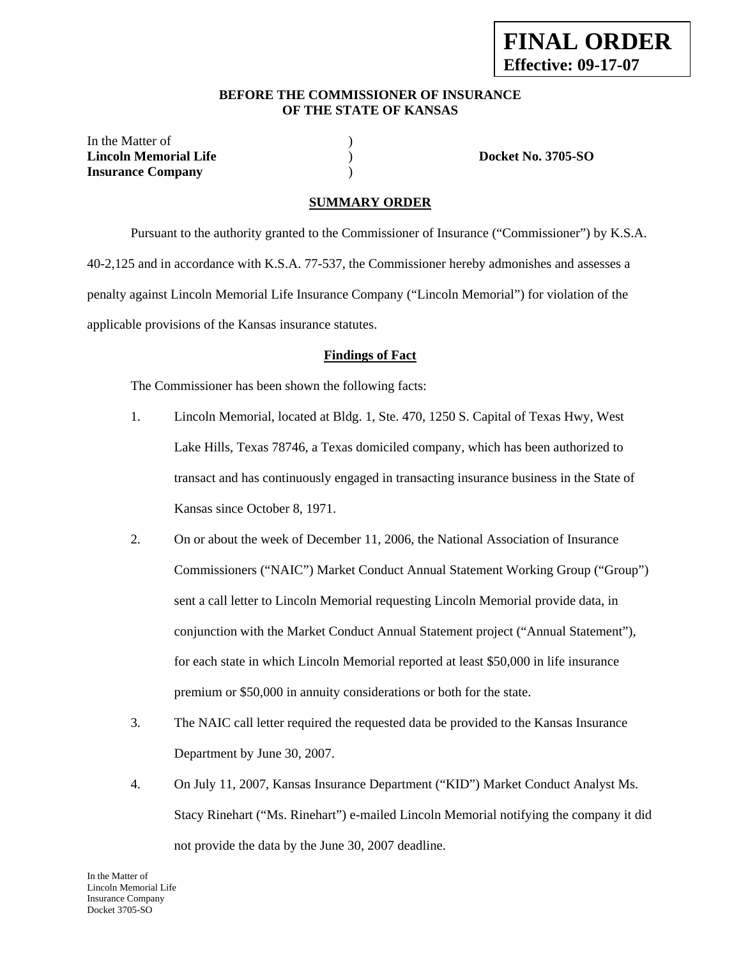#### **BEFORE THE COMMISSIONER OF INSURANCE OF THE STATE OF KANSAS**

In the Matter of  $\hspace{1.5cm}$  ) **Lincoln Memorial Life** ) **Docket No. 3705-SO Insurance Company** )

### **SUMMARY ORDER**

 Pursuant to the authority granted to the Commissioner of Insurance ("Commissioner") by K.S.A. 40-2,125 and in accordance with K.S.A. 77-537, the Commissioner hereby admonishes and assesses a penalty against Lincoln Memorial Life Insurance Company ("Lincoln Memorial") for violation of the applicable provisions of the Kansas insurance statutes.

#### **Findings of Fact**

The Commissioner has been shown the following facts:

- 1. Lincoln Memorial, located at Bldg. 1, Ste. 470, 1250 S. Capital of Texas Hwy, West Lake Hills, Texas 78746, a Texas domiciled company, which has been authorized to transact and has continuously engaged in transacting insurance business in the State of Kansas since October 8, 1971.
- 2. On or about the week of December 11, 2006, the National Association of Insurance Commissioners ("NAIC") Market Conduct Annual Statement Working Group ("Group") sent a call letter to Lincoln Memorial requesting Lincoln Memorial provide data, in conjunction with the Market Conduct Annual Statement project ("Annual Statement"), for each state in which Lincoln Memorial reported at least \$50,000 in life insurance premium or \$50,000 in annuity considerations or both for the state.
- 3. The NAIC call letter required the requested data be provided to the Kansas Insurance Department by June 30, 2007.
- 4. On July 11, 2007, Kansas Insurance Department ("KID") Market Conduct Analyst Ms. Stacy Rinehart ("Ms. Rinehart") e-mailed Lincoln Memorial notifying the company it did not provide the data by the June 30, 2007 deadline.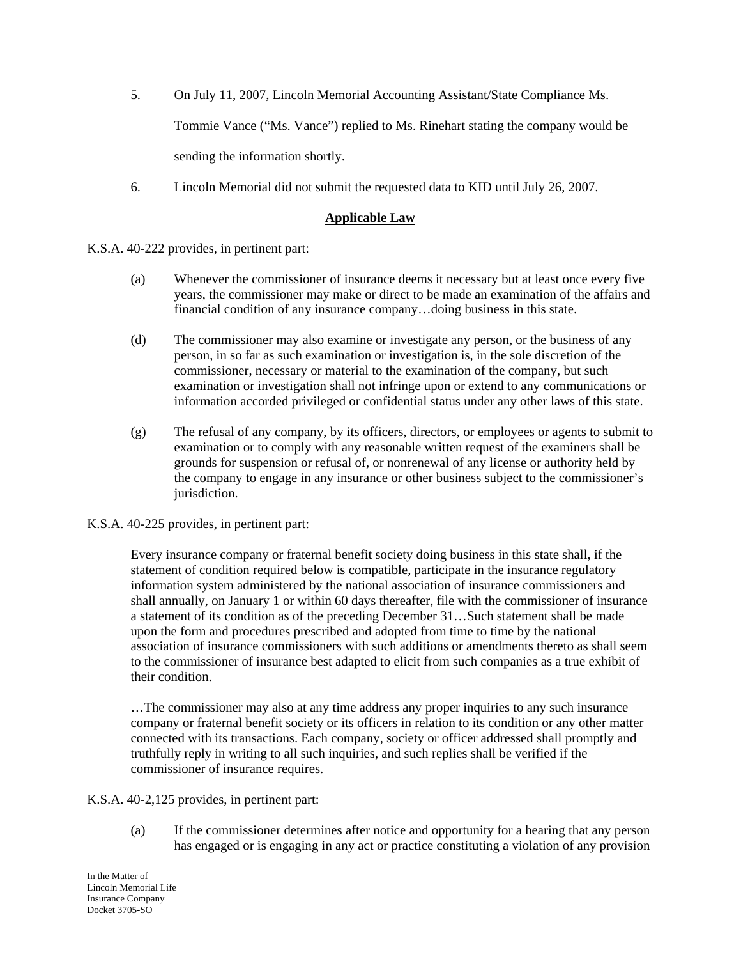- 5. On July 11, 2007, Lincoln Memorial Accounting Assistant/State Compliance Ms. Tommie Vance ("Ms. Vance") replied to Ms. Rinehart stating the company would be sending the information shortly.
- 6. Lincoln Memorial did not submit the requested data to KID until July 26, 2007.

### **Applicable Law**

K.S.A. 40-222 provides, in pertinent part:

- (a) Whenever the commissioner of insurance deems it necessary but at least once every five years, the commissioner may make or direct to be made an examination of the affairs and financial condition of any insurance company…doing business in this state.
- (d) The commissioner may also examine or investigate any person, or the business of any person, in so far as such examination or investigation is, in the sole discretion of the commissioner, necessary or material to the examination of the company, but such examination or investigation shall not infringe upon or extend to any communications or information accorded privileged or confidential status under any other laws of this state.
- (g) The refusal of any company, by its officers, directors, or employees or agents to submit to examination or to comply with any reasonable written request of the examiners shall be grounds for suspension or refusal of, or nonrenewal of any license or authority held by the company to engage in any insurance or other business subject to the commissioner's jurisdiction.

### K.S.A. 40-225 provides, in pertinent part:

Every insurance company or fraternal benefit society doing business in this state shall, if the statement of condition required below is compatible, participate in the insurance regulatory information system administered by the national association of insurance commissioners and shall annually, on January 1 or within 60 days thereafter, file with the commissioner of insurance a statement of its condition as of the preceding December 31…Such statement shall be made upon the form and procedures prescribed and adopted from time to time by the national association of insurance commissioners with such additions or amendments thereto as shall seem to the commissioner of insurance best adapted to elicit from such companies as a true exhibit of their condition.

…The commissioner may also at any time address any proper inquiries to any such insurance company or fraternal benefit society or its officers in relation to its condition or any other matter connected with its transactions. Each company, society or officer addressed shall promptly and truthfully reply in writing to all such inquiries, and such replies shall be verified if the commissioner of insurance requires.

K.S.A. 40-2,125 provides, in pertinent part:

(a) If the commissioner determines after notice and opportunity for a hearing that any person has engaged or is engaging in any act or practice constituting a violation of any provision

In the Matter of Lincoln Memorial Life Insurance Company Docket 3705-SO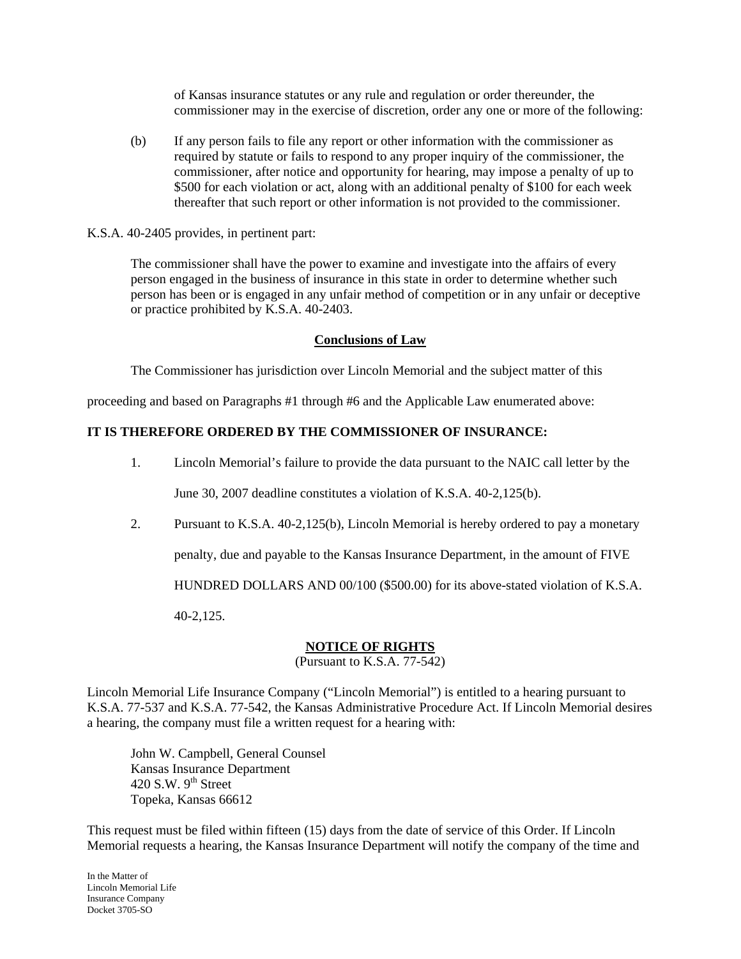of Kansas insurance statutes or any rule and regulation or order thereunder, the commissioner may in the exercise of discretion, order any one or more of the following:

(b) If any person fails to file any report or other information with the commissioner as required by statute or fails to respond to any proper inquiry of the commissioner, the commissioner, after notice and opportunity for hearing, may impose a penalty of up to \$500 for each violation or act, along with an additional penalty of \$100 for each week thereafter that such report or other information is not provided to the commissioner.

K.S.A. 40-2405 provides, in pertinent part:

The commissioner shall have the power to examine and investigate into the affairs of every person engaged in the business of insurance in this state in order to determine whether such person has been or is engaged in any unfair method of competition or in any unfair or deceptive or practice prohibited by K.S.A. 40-2403.

### **Conclusions of Law**

The Commissioner has jurisdiction over Lincoln Memorial and the subject matter of this

proceeding and based on Paragraphs #1 through #6 and the Applicable Law enumerated above:

## **IT IS THEREFORE ORDERED BY THE COMMISSIONER OF INSURANCE:**

1. Lincoln Memorial's failure to provide the data pursuant to the NAIC call letter by the

June 30, 2007 deadline constitutes a violation of K.S.A. 40-2,125(b).

2. Pursuant to K.S.A. 40-2,125(b), Lincoln Memorial is hereby ordered to pay a monetary

penalty, due and payable to the Kansas Insurance Department, in the amount of FIVE

HUNDRED DOLLARS AND 00/100 (\$500.00) for its above-stated violation of K.S.A.

40-2,125.

### **NOTICE OF RIGHTS**

(Pursuant to K.S.A. 77-542)

Lincoln Memorial Life Insurance Company ("Lincoln Memorial") is entitled to a hearing pursuant to K.S.A. 77-537 and K.S.A. 77-542, the Kansas Administrative Procedure Act. If Lincoln Memorial desires a hearing, the company must file a written request for a hearing with:

 John W. Campbell, General Counsel Kansas Insurance Department 420 S.W.  $9<sup>th</sup>$  Street Topeka, Kansas 66612

This request must be filed within fifteen (15) days from the date of service of this Order. If Lincoln Memorial requests a hearing, the Kansas Insurance Department will notify the company of the time and

In the Matter of Lincoln Memorial Life Insurance Company Docket 3705-SO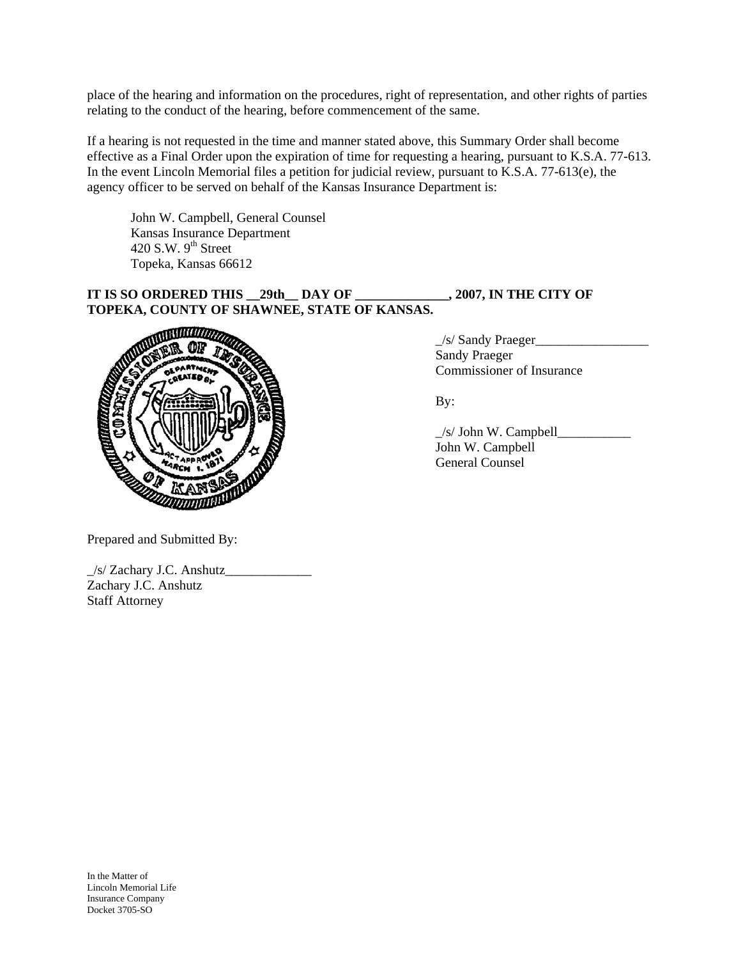place of the hearing and information on the procedures, right of representation, and other rights of parties relating to the conduct of the hearing, before commencement of the same.

If a hearing is not requested in the time and manner stated above, this Summary Order shall become effective as a Final Order upon the expiration of time for requesting a hearing, pursuant to K.S.A. 77-613. In the event Lincoln Memorial files a petition for judicial review, pursuant to K.S.A. 77-613(e), the agency officer to be served on behalf of the Kansas Insurance Department is:

 John W. Campbell, General Counsel Kansas Insurance Department 420 S.W.  $9<sup>th</sup>$  Street Topeka, Kansas 66612

## **IT IS SO ORDERED THIS \_\_29th\_\_ DAY OF \_\_\_\_\_\_\_\_\_\_\_\_\_\_, 2007, IN THE CITY OF TOPEKA, COUNTY OF SHAWNEE, STATE OF KANSAS.**



\_/s/ Sandy Praeger\_\_\_\_\_\_\_\_\_\_\_\_\_\_\_\_\_ Commissioner of Insurance

 \_/s/ John W. Campbell\_\_\_\_\_\_\_\_\_\_\_ John W. Campbell

Prepared and Submitted By:

| /s/ Zachary J.C. Anshutz |  |
|--------------------------|--|
| Zachary J.C. Anshutz     |  |
| <b>Staff Attorney</b>    |  |